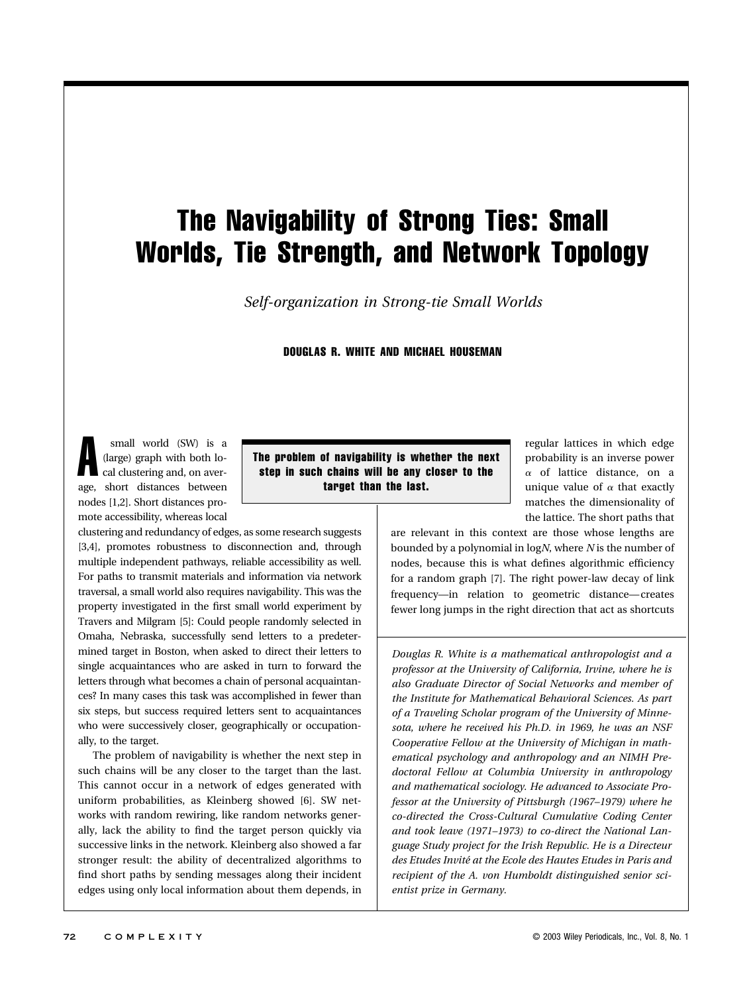# The Navigability of Strong Ties: Small Worlds, Tie Strength, and Network Topology

*Self-organization in Strong-tie Small Worlds*

DOUGLAS R. WHITE AND MICHAEL HOUSEMAN

small world (SW) is a<br>(large) graph with both lo-<br>cal clustering and, on aver-(large) graph with both local clustering and, on average, short distances between nodes [1,2]. Short distances promote accessibility, whereas local

clustering and redundancy of edges, as some research suggests [3,4], promotes robustness to disconnection and, through multiple independent pathways, reliable accessibility as well. For paths to transmit materials and information via network traversal, a small world also requires navigability. This was the property investigated in the first small world experiment by Travers and Milgram [5]: Could people randomly selected in Omaha, Nebraska, successfully send letters to a predetermined target in Boston, when asked to direct their letters to single acquaintances who are asked in turn to forward the letters through what becomes a chain of personal acquaintances? In many cases this task was accomplished in fewer than six steps, but success required letters sent to acquaintances who were successively closer, geographically or occupationally, to the target.

The problem of navigability is whether the next step in such chains will be any closer to the target than the last. This cannot occur in a network of edges generated with uniform probabilities, as Kleinberg showed [6]. SW networks with random rewiring, like random networks generally, lack the ability to find the target person quickly via successive links in the network. Kleinberg also showed a far stronger result: the ability of decentralized algorithms to find short paths by sending messages along their incident edges using only local information about them depends, in

The problem of navigability is whether the next step in such chains will be any closer to the target than the last.

regular lattices in which edge probability is an inverse power  $\alpha$  of lattice distance, on a unique value of  $\alpha$  that exactly matches the dimensionality of the lattice. The short paths that

are relevant in this context are those whose lengths are bounded by a polynomial in log*N*, where *N* is the number of nodes, because this is what defines algorithmic efficiency for a random graph [7]. The right power-law decay of link frequency—in relation to geometric distance— creates fewer long jumps in the right direction that act as shortcuts

*Douglas R. White is a mathematical anthropologist and a professor at the University of California, Irvine, where he is also Graduate Director of Social Networks and member of the Institute for Mathematical Behavioral Sciences. As part of a Traveling Scholar program of the University of Minnesota, where he received his Ph.D. in 1969, he was an NSF Cooperative Fellow at the University of Michigan in mathematical psychology and anthropology and an NIMH Predoctoral Fellow at Columbia University in anthropology and mathematical sociology. He advanced to Associate Professor at the University of Pittsburgh (1967–1979) where he co-directed the Cross-Cultural Cumulative Coding Center and took leave (1971–1973) to co-direct the National Language Study project for the Irish Republic. He is a Directeur des Etudes Invite´ at the Ecole des Hautes Etudes in Paris and recipient of the A. von Humboldt distinguished senior scientist prize in Germany.*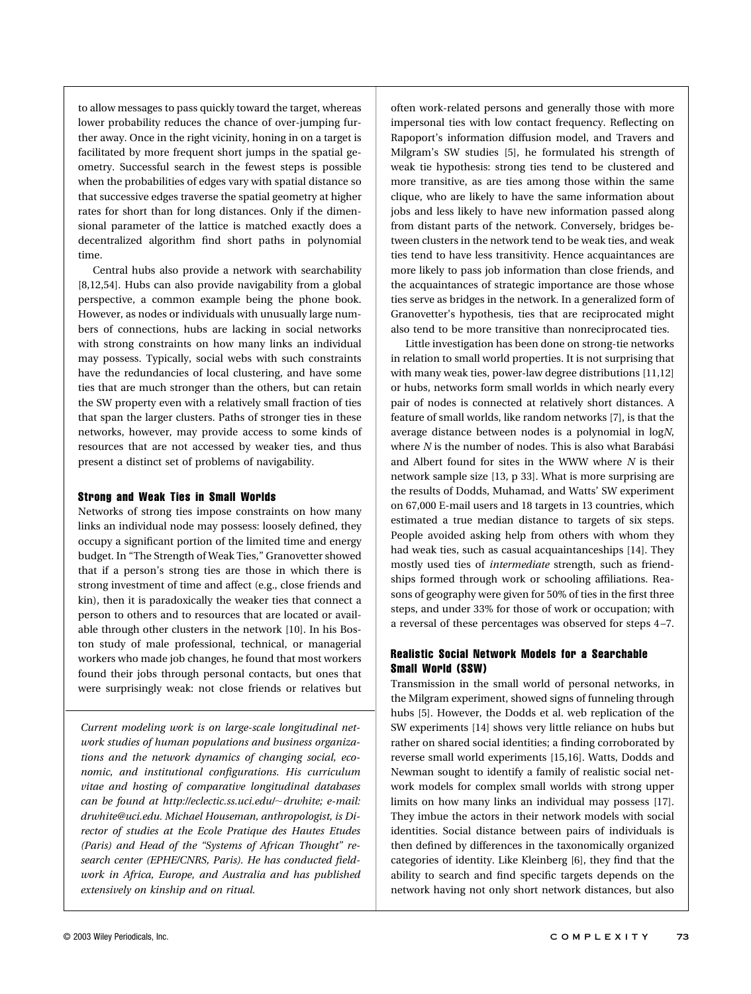to allow messages to pass quickly toward the target, whereas lower probability reduces the chance of over-jumping further away. Once in the right vicinity, honing in on a target is facilitated by more frequent short jumps in the spatial geometry. Successful search in the fewest steps is possible when the probabilities of edges vary with spatial distance so that successive edges traverse the spatial geometry at higher rates for short than for long distances. Only if the dimensional parameter of the lattice is matched exactly does a decentralized algorithm find short paths in polynomial time.

Central hubs also provide a network with searchability [8,12,54]. Hubs can also provide navigability from a global perspective, a common example being the phone book. However, as nodes or individuals with unusually large numbers of connections, hubs are lacking in social networks with strong constraints on how many links an individual may possess. Typically, social webs with such constraints have the redundancies of local clustering, and have some ties that are much stronger than the others, but can retain the SW property even with a relatively small fraction of ties that span the larger clusters. Paths of stronger ties in these networks, however, may provide access to some kinds of resources that are not accessed by weaker ties, and thus present a distinct set of problems of navigability.

#### Strong and Weak Ties in Small Worlds

Networks of strong ties impose constraints on how many links an individual node may possess: loosely defined, they occupy a significant portion of the limited time and energy budget. In "The Strength of Weak Ties," Granovetter showed that if a person's strong ties are those in which there is strong investment of time and affect (e.g., close friends and kin), then it is paradoxically the weaker ties that connect a person to others and to resources that are located or available through other clusters in the network [10]. In his Boston study of male professional, technical, or managerial workers who made job changes, he found that most workers found their jobs through personal contacts, but ones that were surprisingly weak: not close friends or relatives but

*Current modeling work is on large-scale longitudinal network studies of human populations and business organizations and the network dynamics of changing social, economic, and institutional configurations. His curriculum vitae and hosting of comparative longitudinal databases can be found at http://eclectic.ss.uci.edu/drwhite; e-mail: drwhite@uci.edu. Michael Houseman, anthropologist, is Director of studies at the Ecole Pratique des Hautes Etudes (Paris) and Head of the "Systems of African Thought" research center (EPHE/CNRS, Paris). He has conducted fieldwork in Africa, Europe, and Australia and has published extensively on kinship and on ritual.*

often work-related persons and generally those with more impersonal ties with low contact frequency. Reflecting on Rapoport's information diffusion model, and Travers and Milgram's SW studies [5], he formulated his strength of weak tie hypothesis: strong ties tend to be clustered and more transitive, as are ties among those within the same clique, who are likely to have the same information about jobs and less likely to have new information passed along from distant parts of the network. Conversely, bridges between clusters in the network tend to be weak ties, and weak ties tend to have less transitivity. Hence acquaintances are more likely to pass job information than close friends, and the acquaintances of strategic importance are those whose ties serve as bridges in the network. In a generalized form of Granovetter's hypothesis, ties that are reciprocated might also tend to be more transitive than nonreciprocated ties.

Little investigation has been done on strong-tie networks in relation to small world properties. It is not surprising that with many weak ties, power-law degree distributions [11,12] or hubs, networks form small worlds in which nearly every pair of nodes is connected at relatively short distances. A feature of small worlds, like random networks [7], is that the average distance between nodes is a polynomial in log*N*, where *N* is the number of nodes. This is also what Barabási and Albert found for sites in the WWW where *N* is their network sample size [13, p 33]. What is more surprising are the results of Dodds, Muhamad, and Watts' SW experiment on 67,000 E-mail users and 18 targets in 13 countries, which estimated a true median distance to targets of six steps. People avoided asking help from others with whom they had weak ties, such as casual acquaintanceships [14]. They mostly used ties of *intermediate* strength, such as friendships formed through work or schooling affiliations. Reasons of geography were given for 50% of ties in the first three steps, and under 33% for those of work or occupation; with a reversal of these percentages was observed for steps 4–7.

## Realistic Social Network Models for a Searchable Small World (SSW)

Transmission in the small world of personal networks, in the Milgram experiment, showed signs of funneling through hubs [5]. However, the Dodds et al. web replication of the SW experiments [14] shows very little reliance on hubs but rather on shared social identities; a finding corroborated by reverse small world experiments [15,16]. Watts, Dodds and Newman sought to identify a family of realistic social network models for complex small worlds with strong upper limits on how many links an individual may possess [17]. They imbue the actors in their network models with social identities. Social distance between pairs of individuals is then defined by differences in the taxonomically organized categories of identity. Like Kleinberg [6], they find that the ability to search and find specific targets depends on the network having not only short network distances, but also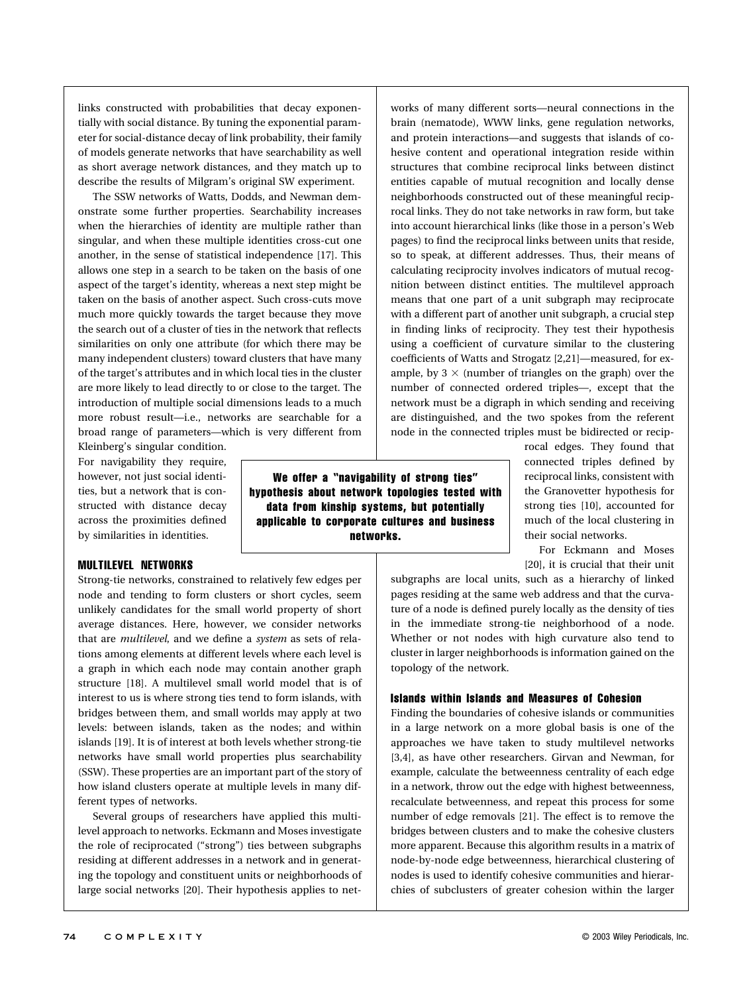links constructed with probabilities that decay exponentially with social distance. By tuning the exponential parameter for social-distance decay of link probability, their family of models generate networks that have searchability as well as short average network distances, and they match up to describe the results of Milgram's original SW experiment.

The SSW networks of Watts, Dodds, and Newman demonstrate some further properties. Searchability increases when the hierarchies of identity are multiple rather than singular, and when these multiple identities cross-cut one another, in the sense of statistical independence [17]. This allows one step in a search to be taken on the basis of one aspect of the target's identity, whereas a next step might be taken on the basis of another aspect. Such cross-cuts move much more quickly towards the target because they move the search out of a cluster of ties in the network that reflects similarities on only one attribute (for which there may be many independent clusters) toward clusters that have many of the target's attributes and in which local ties in the cluster are more likely to lead directly to or close to the target. The introduction of multiple social dimensions leads to a much more robust result—i.e., networks are searchable for a broad range of parameters—which is very different from Kleinberg's singular condition.

For navigability they require, however, not just social identities, but a network that is constructed with distance decay across the proximities defined by similarities in identities.

#### MULTILEVEL NETWORKS

Strong-tie networks, constrained to relatively few edges per node and tending to form clusters or short cycles, seem unlikely candidates for the small world property of short average distances. Here, however, we consider networks that are *multilevel*, and we define a *system* as sets of relations among elements at different levels where each level is a graph in which each node may contain another graph structure [18]. A multilevel small world model that is of interest to us is where strong ties tend to form islands, with bridges between them, and small worlds may apply at two levels: between islands, taken as the nodes; and within islands [19]. It is of interest at both levels whether strong-tie networks have small world properties plus searchability (SSW). These properties are an important part of the story of how island clusters operate at multiple levels in many different types of networks.

Several groups of researchers have applied this multilevel approach to networks. Eckmann and Moses investigate the role of reciprocated ("strong") ties between subgraphs residing at different addresses in a network and in generating the topology and constituent units or neighborhoods of large social networks [20]. Their hypothesis applies to networks of many different sorts—neural connections in the brain (nematode), WWW links, gene regulation networks, and protein interactions—and suggests that islands of cohesive content and operational integration reside within structures that combine reciprocal links between distinct entities capable of mutual recognition and locally dense neighborhoods constructed out of these meaningful reciprocal links. They do not take networks in raw form, but take into account hierarchical links (like those in a person's Web pages) to find the reciprocal links between units that reside, so to speak, at different addresses. Thus, their means of calculating reciprocity involves indicators of mutual recognition between distinct entities. The multilevel approach means that one part of a unit subgraph may reciprocate with a different part of another unit subgraph, a crucial step in finding links of reciprocity. They test their hypothesis using a coefficient of curvature similar to the clustering coefficients of Watts and Strogatz [2,21]—measured, for example, by  $3 \times$  (number of triangles on the graph) over the number of connected ordered triples—, except that the network must be a digraph in which sending and receiving are distinguished, and the two spokes from the referent node in the connected triples must be bidirected or recip-

> rocal edges. They found that connected triples defined by reciprocal links, consistent with the Granovetter hypothesis for strong ties [10], accounted for much of the local clustering in their social networks.

> For Eckmann and Moses [20], it is crucial that their unit

subgraphs are local units, such as a hierarchy of linked pages residing at the same web address and that the curvature of a node is defined purely locally as the density of ties in the immediate strong-tie neighborhood of a node. Whether or not nodes with high curvature also tend to cluster in larger neighborhoods is information gained on the topology of the network.

#### Islands within Islands and Measures of Cohesion

Finding the boundaries of cohesive islands or communities in a large network on a more global basis is one of the approaches we have taken to study multilevel networks [3,4], as have other researchers. Girvan and Newman, for example, calculate the betweenness centrality of each edge in a network, throw out the edge with highest betweenness, recalculate betweenness, and repeat this process for some number of edge removals [21]. The effect is to remove the bridges between clusters and to make the cohesive clusters more apparent. Because this algorithm results in a matrix of node-by-node edge betweenness, hierarchical clustering of nodes is used to identify cohesive communities and hierarchies of subclusters of greater cohesion within the larger

We offer a "navigability of strong ties" hypothesis about network topologies tested with data from kinship systems, but potentially applicable to corporate cultures and business networks.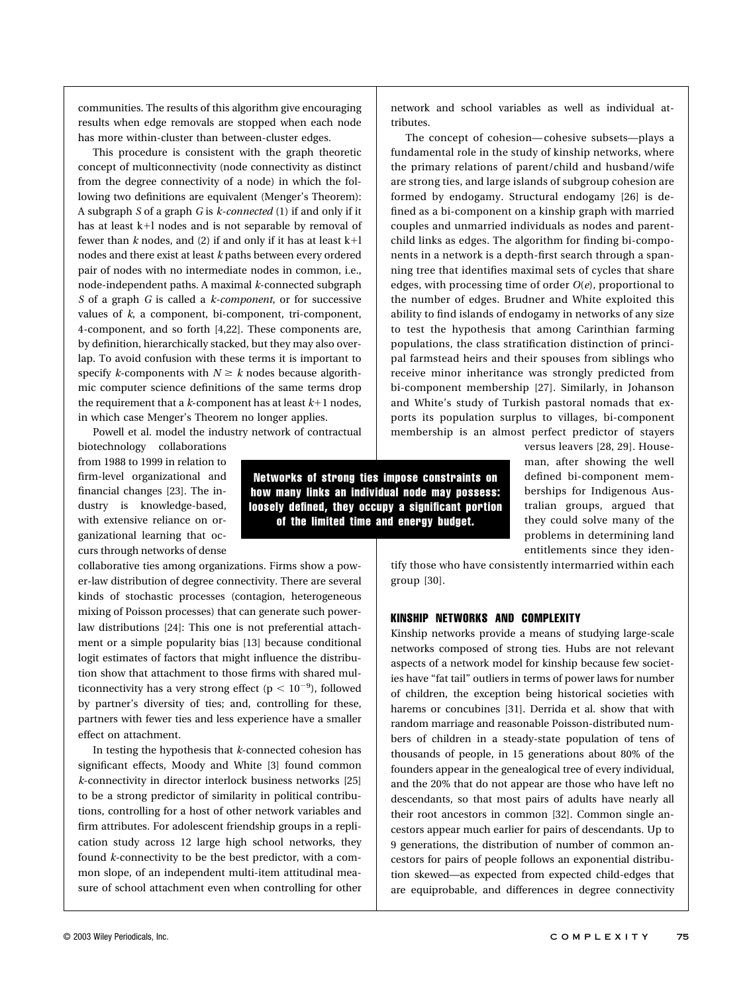communities. The results of this algorithm give encouraging results when edge removals are stopped when each node has more within-cluster than between-cluster edges.

This procedure is consistent with the graph theoretic concept of multiconnectivity (node connectivity as distinct from the degree connectivity of a node) in which the following two definitions are equivalent (Menger's Theorem): A subgraph *S* of a graph *G* is *k-connected* (1) if and only if it has at least  $k+1$  nodes and is not separable by removal of fewer than  $k$  nodes, and (2) if and only if it has at least  $k+l$ nodes and there exist at least *k* paths between every ordered pair of nodes with no intermediate nodes in common, i.e., node-independent paths. A maximal *k*-connected subgraph *S* of a graph *G* is called a *k-component*, or for successive values of *k*, a component, bi-component, tri-component, 4-component, and so forth [4,22]. These components are, by definition, hierarchically stacked, but they may also overlap. To avoid confusion with these terms it is important to specify *k*-components with  $N \geq k$  nodes because algorithmic computer science definitions of the same terms drop the requirement that a  $k$ -component has at least  $k+1$  nodes, in which case Menger's Theorem no longer applies.

Powell et al. model the industry network of contractual

biotechnology collaborations from 1988 to 1999 in relation to firm-level organizational and financial changes [23]. The industry is knowledge-based, with extensive reliance on organizational learning that occurs through networks of dense

collaborative ties among organizations. Firms show a power-law distribution of degree connectivity. There are several kinds of stochastic processes (contagion, heterogeneous mixing of Poisson processes) that can generate such powerlaw distributions [24]: This one is not preferential attachment or a simple popularity bias [13] because conditional logit estimates of factors that might influence the distribution show that attachment to those firms with shared multiconnectivity has a very strong effect ( $p < 10^{-9}$ ), followed by partner's diversity of ties; and, controlling for these, partners with fewer ties and less experience have a smaller effect on attachment.

In testing the hypothesis that *k*-connected cohesion has significant effects, Moody and White [3] found common *k*-connectivity in director interlock business networks [25] to be a strong predictor of similarity in political contributions, controlling for a host of other network variables and firm attributes. For adolescent friendship groups in a replication study across 12 large high school networks, they found *k*-connectivity to be the best predictor, with a common slope, of an independent multi-item attitudinal measure of school attachment even when controlling for other

network and school variables as well as individual attributes.

The concept of cohesion—cohesive subsets—plays a fundamental role in the study of kinship networks, where the primary relations of parent/child and husband/wife are strong ties, and large islands of subgroup cohesion are formed by endogamy. Structural endogamy [26] is defined as a bi-component on a kinship graph with married couples and unmarried individuals as nodes and parentchild links as edges. The algorithm for finding bi-components in a network is a depth-first search through a spanning tree that identifies maximal sets of cycles that share edges, with processing time of order *O*(*e*), proportional to the number of edges. Brudner and White exploited this ability to find islands of endogamy in networks of any size to test the hypothesis that among Carinthian farming populations, the class stratification distinction of principal farmstead heirs and their spouses from siblings who receive minor inheritance was strongly predicted from bi-component membership [27]. Similarly, in Johanson and White's study of Turkish pastoral nomads that exports its population surplus to villages, bi-component membership is an almost perfect predictor of stayers

> versus leavers [28, 29]. Houseman, after showing the well defined bi-component memberships for Indigenous Australian groups, argued that they could solve many of the problems in determining land entitlements since they iden-

tify those who have consistently intermarried within each group [30].

### KINSHIP NETWORKS AND COMPLEXITY

Networks of strong ties impose constraints on how many links an individual node may possess: loosely defined, they occupy a significant portion of the limited time and energy budget.

> Kinship networks provide a means of studying large-scale networks composed of strong ties. Hubs are not relevant aspects of a network model for kinship because few societies have "fat tail" outliers in terms of power laws for number of children, the exception being historical societies with harems or concubines [31]. Derrida et al. show that with random marriage and reasonable Poisson-distributed numbers of children in a steady-state population of tens of thousands of people, in 15 generations about 80% of the founders appear in the genealogical tree of every individual, and the 20% that do not appear are those who have left no descendants, so that most pairs of adults have nearly all their root ancestors in common [32]. Common single ancestors appear much earlier for pairs of descendants. Up to 9 generations, the distribution of number of common ancestors for pairs of people follows an exponential distribution skewed—as expected from expected child-edges that are equiprobable, and differences in degree connectivity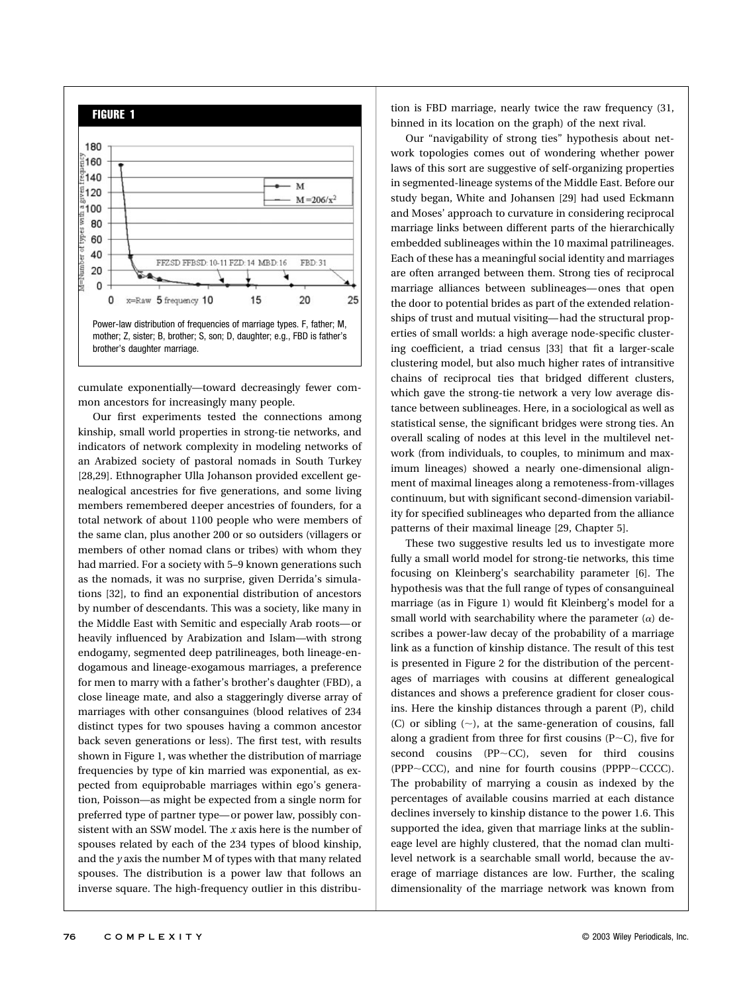

cumulate exponentially—toward decreasingly fewer common ancestors for increasingly many people.

Our first experiments tested the connections among kinship, small world properties in strong-tie networks, and indicators of network complexity in modeling networks of an Arabized society of pastoral nomads in South Turkey [28,29]. Ethnographer Ulla Johanson provided excellent genealogical ancestries for five generations, and some living members remembered deeper ancestries of founders, for a total network of about 1100 people who were members of the same clan, plus another 200 or so outsiders (villagers or members of other nomad clans or tribes) with whom they had married. For a society with 5–9 known generations such as the nomads, it was no surprise, given Derrida's simulations [32], to find an exponential distribution of ancestors by number of descendants. This was a society, like many in the Middle East with Semitic and especially Arab roots—or heavily influenced by Arabization and Islam—with strong endogamy, segmented deep patrilineages, both lineage-endogamous and lineage-exogamous marriages, a preference for men to marry with a father's brother's daughter (FBD), a close lineage mate, and also a staggeringly diverse array of marriages with other consanguines (blood relatives of 234 distinct types for two spouses having a common ancestor back seven generations or less). The first test, with results shown in Figure 1, was whether the distribution of marriage frequencies by type of kin married was exponential, as expected from equiprobable marriages within ego's generation, Poisson—as might be expected from a single norm for preferred type of partner type—or power law, possibly consistent with an SSW model. The *x* axis here is the number of spouses related by each of the 234 types of blood kinship, and the *y* axis the number M of types with that many related spouses. The distribution is a power law that follows an inverse square. The high-frequency outlier in this distribution is FBD marriage, nearly twice the raw frequency (31, binned in its location on the graph) of the next rival.

Our "navigability of strong ties" hypothesis about network topologies comes out of wondering whether power laws of this sort are suggestive of self-organizing properties in segmented-lineage systems of the Middle East. Before our study began, White and Johansen [29] had used Eckmann and Moses' approach to curvature in considering reciprocal marriage links between different parts of the hierarchically embedded sublineages within the 10 maximal patrilineages. Each of these has a meaningful social identity and marriages are often arranged between them. Strong ties of reciprocal marriage alliances between sublineages—ones that open the door to potential brides as part of the extended relationships of trust and mutual visiting—had the structural properties of small worlds: a high average node-specific clustering coefficient, a triad census [33] that fit a larger-scale clustering model, but also much higher rates of intransitive chains of reciprocal ties that bridged different clusters, which gave the strong-tie network a very low average distance between sublineages. Here, in a sociological as well as statistical sense, the significant bridges were strong ties. An overall scaling of nodes at this level in the multilevel network (from individuals, to couples, to minimum and maximum lineages) showed a nearly one-dimensional alignment of maximal lineages along a remoteness-from-villages continuum, but with significant second-dimension variability for specified sublineages who departed from the alliance patterns of their maximal lineage [29, Chapter 5].

These two suggestive results led us to investigate more fully a small world model for strong-tie networks, this time focusing on Kleinberg's searchability parameter [6]. The hypothesis was that the full range of types of consanguineal marriage (as in Figure 1) would fit Kleinberg's model for a small world with searchability where the parameter  $(\alpha)$  describes a power-law decay of the probability of a marriage link as a function of kinship distance. The result of this test is presented in Figure 2 for the distribution of the percentages of marriages with cousins at different genealogical distances and shows a preference gradient for closer cousins. Here the kinship distances through a parent (P), child (C) or sibling  $(\sim)$ , at the same-generation of cousins, fall along a gradient from three for first cousins  $(P \sim C)$ , five for second cousins (PP $\sim$ CC), seven for third cousins (PPP $\sim$ CCC), and nine for fourth cousins (PPPP $\sim$ CCCC). The probability of marrying a cousin as indexed by the percentages of available cousins married at each distance declines inversely to kinship distance to the power 1.6. This supported the idea, given that marriage links at the sublineage level are highly clustered, that the nomad clan multilevel network is a searchable small world, because the average of marriage distances are low. Further, the scaling dimensionality of the marriage network was known from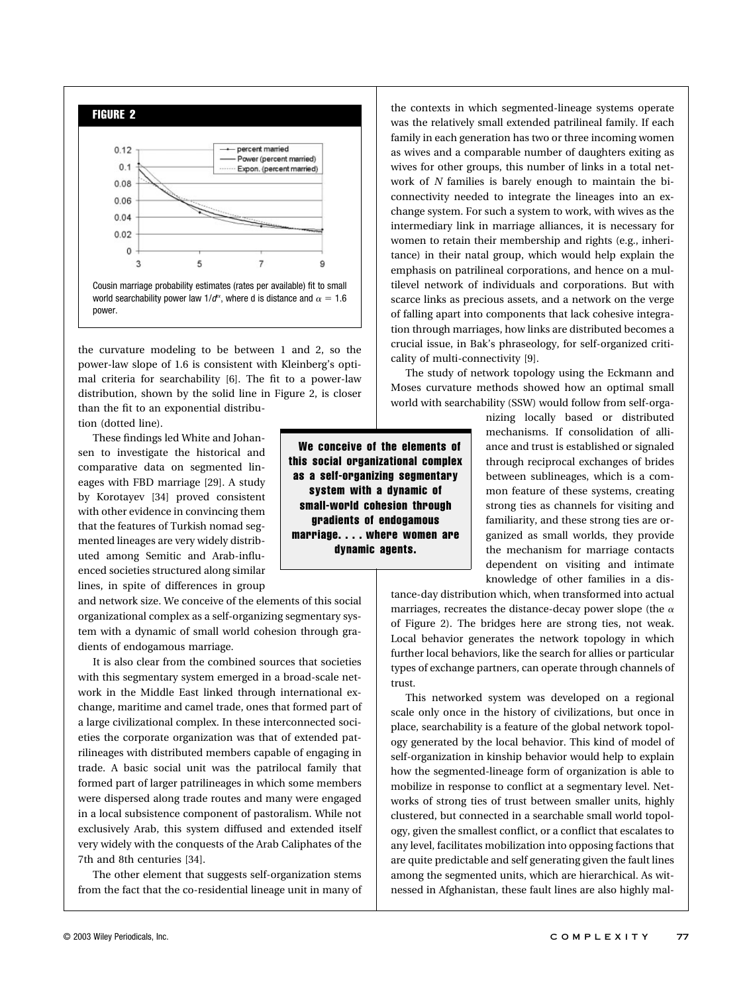

the curvature modeling to be between 1 and 2, so the power-law slope of 1.6 is consistent with Kleinberg's optimal criteria for searchability [6]. The fit to a power-law distribution, shown by the solid line in Figure 2, is closer than the fit to an exponential distribu-

tion (dotted line).

These findings led White and Johansen to investigate the historical and comparative data on segmented lineages with FBD marriage [29]. A study by Korotayev [34] proved consistent with other evidence in convincing them that the features of Turkish nomad segmented lineages are very widely distributed among Semitic and Arab-influenced societies structured along similar lines, in spite of differences in group

and network size. We conceive of the elements of this social organizational complex as a self-organizing segmentary system with a dynamic of small world cohesion through gradients of endogamous marriage.

It is also clear from the combined sources that societies with this segmentary system emerged in a broad-scale network in the Middle East linked through international exchange, maritime and camel trade, ones that formed part of a large civilizational complex. In these interconnected societies the corporate organization was that of extended patrilineages with distributed members capable of engaging in trade. A basic social unit was the patrilocal family that formed part of larger patrilineages in which some members were dispersed along trade routes and many were engaged in a local subsistence component of pastoralism. While not exclusively Arab, this system diffused and extended itself very widely with the conquests of the Arab Caliphates of the 7th and 8th centuries [34].

The other element that suggests self-organization stems from the fact that the co-residential lineage unit in many of the contexts in which segmented-lineage systems operate was the relatively small extended patrilineal family. If each family in each generation has two or three incoming women as wives and a comparable number of daughters exiting as wives for other groups, this number of links in a total network of *N* families is barely enough to maintain the biconnectivity needed to integrate the lineages into an exchange system. For such a system to work, with wives as the intermediary link in marriage alliances, it is necessary for women to retain their membership and rights (e.g., inheritance) in their natal group, which would help explain the emphasis on patrilineal corporations, and hence on a multilevel network of individuals and corporations. But with scarce links as precious assets, and a network on the verge of falling apart into components that lack cohesive integration through marriages, how links are distributed becomes a crucial issue, in Bak's phraseology, for self-organized criticality of multi-connectivity [9].

The study of network topology using the Eckmann and Moses curvature methods showed how an optimal small world with searchability (SSW) would follow from self-orga-

> nizing locally based or distributed mechanisms. If consolidation of alliance and trust is established or signaled through reciprocal exchanges of brides between sublineages, which is a common feature of these systems, creating strong ties as channels for visiting and familiarity, and these strong ties are organized as small worlds, they provide the mechanism for marriage contacts dependent on visiting and intimate knowledge of other families in a dis-

tance-day distribution which, when transformed into actual marriages, recreates the distance-decay power slope (the  $\alpha$ of Figure 2). The bridges here are strong ties, not weak. Local behavior generates the network topology in which further local behaviors, like the search for allies or particular types of exchange partners, can operate through channels of trust.

This networked system was developed on a regional scale only once in the history of civilizations, but once in place, searchability is a feature of the global network topology generated by the local behavior. This kind of model of self-organization in kinship behavior would help to explain how the segmented-lineage form of organization is able to mobilize in response to conflict at a segmentary level. Networks of strong ties of trust between smaller units, highly clustered, but connected in a searchable small world topology, given the smallest conflict, or a conflict that escalates to any level, facilitates mobilization into opposing factions that are quite predictable and self generating given the fault lines among the segmented units, which are hierarchical. As witnessed in Afghanistan, these fault lines are also highly mal-

this social organizational complex as a self-organizing segmentary system with a dynamic of small-world cohesion through gradients of endogamous marriage.... where women are dynamic agents.

We conceive of the elements of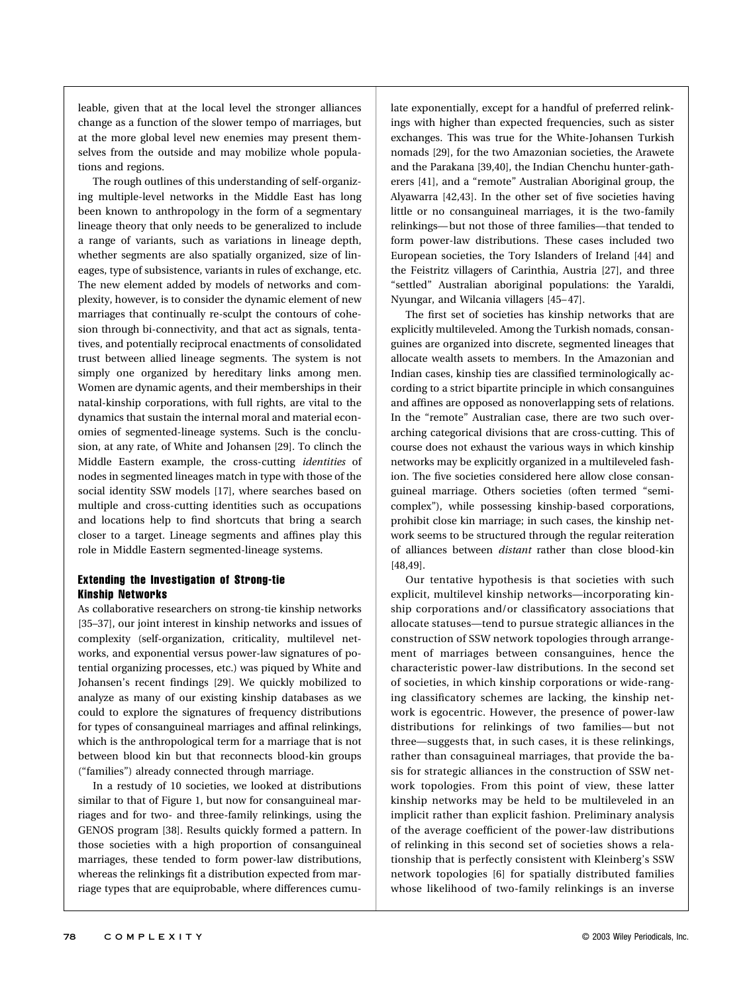leable, given that at the local level the stronger alliances change as a function of the slower tempo of marriages, but at the more global level new enemies may present themselves from the outside and may mobilize whole populations and regions.

The rough outlines of this understanding of self-organizing multiple-level networks in the Middle East has long been known to anthropology in the form of a segmentary lineage theory that only needs to be generalized to include a range of variants, such as variations in lineage depth, whether segments are also spatially organized, size of lineages, type of subsistence, variants in rules of exchange, etc. The new element added by models of networks and complexity, however, is to consider the dynamic element of new marriages that continually re-sculpt the contours of cohesion through bi-connectivity, and that act as signals, tentatives, and potentially reciprocal enactments of consolidated trust between allied lineage segments. The system is not simply one organized by hereditary links among men. Women are dynamic agents, and their memberships in their natal-kinship corporations, with full rights, are vital to the dynamics that sustain the internal moral and material economies of segmented-lineage systems. Such is the conclusion, at any rate, of White and Johansen [29]. To clinch the Middle Eastern example, the cross-cutting *identities* of nodes in segmented lineages match in type with those of the social identity SSW models [17], where searches based on multiple and cross-cutting identities such as occupations and locations help to find shortcuts that bring a search closer to a target. Lineage segments and affines play this role in Middle Eastern segmented-lineage systems.

# Extending the Investigation of Strong-tie Kinship Networks

As collaborative researchers on strong-tie kinship networks [35–37], our joint interest in kinship networks and issues of complexity (self-organization, criticality, multilevel networks, and exponential versus power-law signatures of potential organizing processes, etc.) was piqued by White and Johansen's recent findings [29]. We quickly mobilized to analyze as many of our existing kinship databases as we could to explore the signatures of frequency distributions for types of consanguineal marriages and affinal relinkings, which is the anthropological term for a marriage that is not between blood kin but that reconnects blood-kin groups ("families") already connected through marriage.

In a restudy of 10 societies, we looked at distributions similar to that of Figure 1, but now for consanguineal marriages and for two- and three-family relinkings, using the GENOS program [38]. Results quickly formed a pattern. In those societies with a high proportion of consanguineal marriages, these tended to form power-law distributions, whereas the relinkings fit a distribution expected from marriage types that are equiprobable, where differences cumulate exponentially, except for a handful of preferred relinkings with higher than expected frequencies, such as sister exchanges. This was true for the White-Johansen Turkish nomads [29], for the two Amazonian societies, the Arawete and the Parakana [39,40], the Indian Chenchu hunter-gatherers [41], and a "remote" Australian Aboriginal group, the Alyawarra [42,43]. In the other set of five societies having little or no consanguineal marriages, it is the two-family relinkings—but not those of three families—that tended to form power-law distributions. These cases included two European societies, the Tory Islanders of Ireland [44] and the Feistritz villagers of Carinthia, Austria [27], and three "settled" Australian aboriginal populations: the Yaraldi, Nyungar, and Wilcania villagers [45–47].

The first set of societies has kinship networks that are explicitly multileveled. Among the Turkish nomads, consanguines are organized into discrete, segmented lineages that allocate wealth assets to members. In the Amazonian and Indian cases, kinship ties are classified terminologically according to a strict bipartite principle in which consanguines and affines are opposed as nonoverlapping sets of relations. In the "remote" Australian case, there are two such overarching categorical divisions that are cross-cutting. This of course does not exhaust the various ways in which kinship networks may be explicitly organized in a multileveled fashion. The five societies considered here allow close consanguineal marriage. Others societies (often termed "semicomplex"), while possessing kinship-based corporations, prohibit close kin marriage; in such cases, the kinship network seems to be structured through the regular reiteration of alliances between *distant* rather than close blood-kin [48,49].

Our tentative hypothesis is that societies with such explicit, multilevel kinship networks—incorporating kinship corporations and/or classificatory associations that allocate statuses—tend to pursue strategic alliances in the construction of SSW network topologies through arrangement of marriages between consanguines, hence the characteristic power-law distributions. In the second set of societies, in which kinship corporations or wide-ranging classificatory schemes are lacking, the kinship network is egocentric. However, the presence of power-law distributions for relinkings of two families—but not three—suggests that, in such cases, it is these relinkings, rather than consaguineal marriages, that provide the basis for strategic alliances in the construction of SSW network topologies. From this point of view, these latter kinship networks may be held to be multileveled in an implicit rather than explicit fashion. Preliminary analysis of the average coefficient of the power-law distributions of relinking in this second set of societies shows a relationship that is perfectly consistent with Kleinberg's SSW network topologies [6] for spatially distributed families whose likelihood of two-family relinkings is an inverse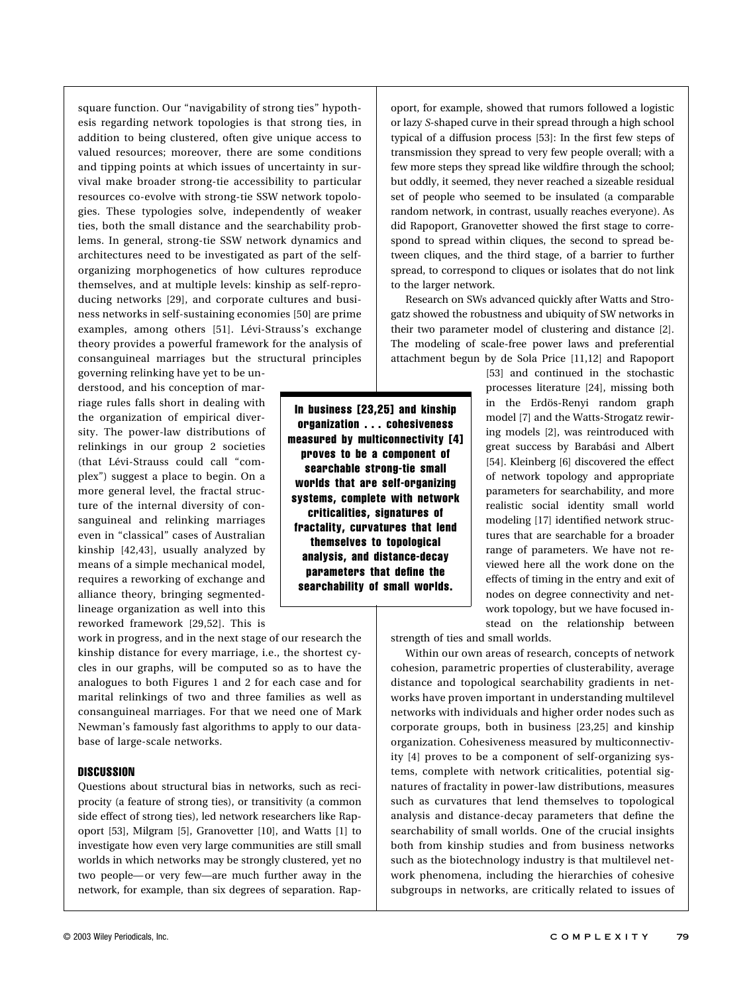square function. Our "navigability of strong ties" hypothesis regarding network topologies is that strong ties, in addition to being clustered, often give unique access to valued resources; moreover, there are some conditions and tipping points at which issues of uncertainty in survival make broader strong-tie accessibility to particular resources co-evolve with strong-tie SSW network topologies. These typologies solve, independently of weaker ties, both the small distance and the searchability problems. In general, strong-tie SSW network dynamics and architectures need to be investigated as part of the selforganizing morphogenetics of how cultures reproduce themselves, and at multiple levels: kinship as self-reproducing networks [29], and corporate cultures and business networks in self-sustaining economies [50] are prime examples, among others [51]. Lévi-Strauss's exchange theory provides a powerful framework for the analysis of consanguineal marriages but the structural principles

governing relinking have yet to be understood, and his conception of marriage rules falls short in dealing with the organization of empirical diversity. The power-law distributions of relinkings in our group 2 societies (that Lévi-Strauss could call "complex") suggest a place to begin. On a more general level, the fractal structure of the internal diversity of consanguineal and relinking marriages even in "classical" cases of Australian kinship [42,43], usually analyzed by means of a simple mechanical model, requires a reworking of exchange and alliance theory, bringing segmentedlineage organization as well into this reworked framework [29,52]. This is

work in progress, and in the next stage of our research the kinship distance for every marriage, i.e., the shortest cycles in our graphs, will be computed so as to have the analogues to both Figures 1 and 2 for each case and for marital relinkings of two and three families as well as consanguineal marriages. For that we need one of Mark Newman's famously fast algorithms to apply to our database of large-scale networks.

#### **DISCUSSION**

Questions about structural bias in networks, such as reciprocity (a feature of strong ties), or transitivity (a common side effect of strong ties), led network researchers like Rapoport [53], Milgram [5], Granovetter [10], and Watts [1] to investigate how even very large communities are still small worlds in which networks may be strongly clustered, yet no two people—or very few—are much further away in the network, for example, than six degrees of separation. Rap-

In business [23,25] and kinship organization . . . cohesiveness measured by multiconnectivity [4] proves to be a component of searchable strong-tie small worlds that are self-organizing systems, complete with network criticalities, signatures of fractality, curvatures that lend themselves to topological analysis, and distance-decay parameters that define the searchability of small worlds.

oport, for example, showed that rumors followed a logistic or lazy *S*-shaped curve in their spread through a high school typical of a diffusion process [53]: In the first few steps of transmission they spread to very few people overall; with a few more steps they spread like wildfire through the school; but oddly, it seemed, they never reached a sizeable residual set of people who seemed to be insulated (a comparable random network, in contrast, usually reaches everyone). As did Rapoport, Granovetter showed the first stage to correspond to spread within cliques, the second to spread between cliques, and the third stage, of a barrier to further spread, to correspond to cliques or isolates that do not link to the larger network.

Research on SWs advanced quickly after Watts and Strogatz showed the robustness and ubiquity of SW networks in their two parameter model of clustering and distance [2]. The modeling of scale-free power laws and preferential attachment begun by de Sola Price [11,12] and Rapoport

> [53] and continued in the stochastic processes literature [24], missing both in the Erdös-Renyi random graph model [7] and the Watts-Strogatz rewiring models [2], was reintroduced with great success by Barabási and Albert [54]. Kleinberg [6] discovered the effect of network topology and appropriate parameters for searchability, and more realistic social identity small world modeling [17] identified network structures that are searchable for a broader range of parameters. We have not reviewed here all the work done on the effects of timing in the entry and exit of nodes on degree connectivity and network topology, but we have focused instead on the relationship between

strength of ties and small worlds.

Within our own areas of research, concepts of network cohesion, parametric properties of clusterability, average distance and topological searchability gradients in networks have proven important in understanding multilevel networks with individuals and higher order nodes such as corporate groups, both in business [23,25] and kinship organization. Cohesiveness measured by multiconnectivity [4] proves to be a component of self-organizing systems, complete with network criticalities, potential signatures of fractality in power-law distributions, measures such as curvatures that lend themselves to topological analysis and distance-decay parameters that define the searchability of small worlds. One of the crucial insights both from kinship studies and from business networks such as the biotechnology industry is that multilevel network phenomena, including the hierarchies of cohesive subgroups in networks, are critically related to issues of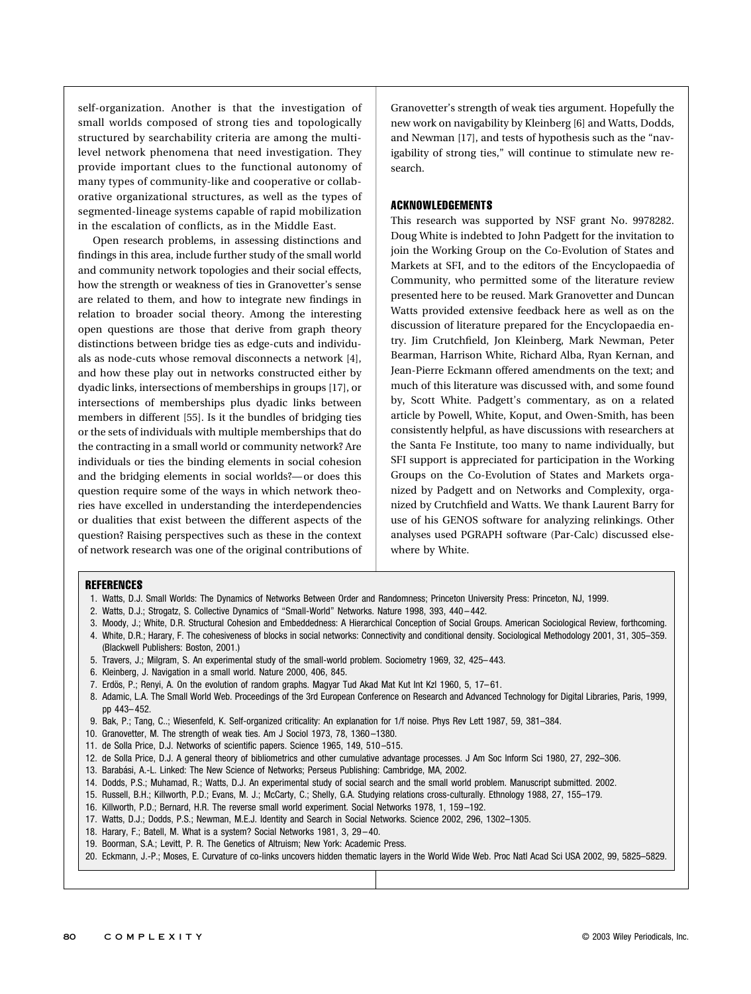self-organization. Another is that the investigation of small worlds composed of strong ties and topologically structured by searchability criteria are among the multilevel network phenomena that need investigation. They provide important clues to the functional autonomy of many types of community-like and cooperative or collaborative organizational structures, as well as the types of segmented-lineage systems capable of rapid mobilization in the escalation of conflicts, as in the Middle East.

Open research problems, in assessing distinctions and findings in this area, include further study of the small world and community network topologies and their social effects, how the strength or weakness of ties in Granovetter's sense are related to them, and how to integrate new findings in relation to broader social theory. Among the interesting open questions are those that derive from graph theory distinctions between bridge ties as edge-cuts and individuals as node-cuts whose removal disconnects a network [4], and how these play out in networks constructed either by dyadic links, intersections of memberships in groups [17], or intersections of memberships plus dyadic links between members in different [55]. Is it the bundles of bridging ties or the sets of individuals with multiple memberships that do the contracting in a small world or community network? Are individuals or ties the binding elements in social cohesion and the bridging elements in social worlds?—or does this question require some of the ways in which network theories have excelled in understanding the interdependencies or dualities that exist between the different aspects of the question? Raising perspectives such as these in the context of network research was one of the original contributions of Granovetter's strength of weak ties argument. Hopefully the new work on navigability by Kleinberg [6] and Watts, Dodds, and Newman [17], and tests of hypothesis such as the "navigability of strong ties," will continue to stimulate new research.

#### ACKNOWLEDGEMENTS

This research was supported by NSF grant No. 9978282. Doug White is indebted to John Padgett for the invitation to join the Working Group on the Co-Evolution of States and Markets at SFI, and to the editors of the Encyclopaedia of Community, who permitted some of the literature review presented here to be reused. Mark Granovetter and Duncan Watts provided extensive feedback here as well as on the discussion of literature prepared for the Encyclopaedia entry. Jim Crutchfield, Jon Kleinberg, Mark Newman, Peter Bearman, Harrison White, Richard Alba, Ryan Kernan, and Jean-Pierre Eckmann offered amendments on the text; and much of this literature was discussed with, and some found by, Scott White. Padgett's commentary, as on a related article by Powell, White, Koput, and Owen-Smith, has been consistently helpful, as have discussions with researchers at the Santa Fe Institute, too many to name individually, but SFI support is appreciated for participation in the Working Groups on the Co-Evolution of States and Markets organized by Padgett and on Networks and Complexity, organized by Crutchfield and Watts. We thank Laurent Barry for use of his GENOS software for analyzing relinkings. Other analyses used PGRAPH software (Par-Calc) discussed elsewhere by White.

#### **REFERENCES**

- 1. Watts, D.J. Small Worlds: The Dynamics of Networks Between Order and Randomness; Princeton University Press: Princeton, NJ, 1999.
- 2. Watts, D.J.; Strogatz, S. Collective Dynamics of "Small-World" Networks. Nature 1998, 393, 440–442.
- 3. Moody, J.; White, D.R. Structural Cohesion and Embeddedness: A Hierarchical Conception of Social Groups. American Sociological Review, forthcoming.
- 4. White, D.R.; Harary, F. The cohesiveness of blocks in social networks: Connectivity and conditional density. Sociological Methodology 2001, 31, 305–359. (Blackwell Publishers: Boston, 2001.)
- 5. Travers, J.; Milgram, S. An experimental study of the small-world problem. Sociometry 1969, 32, 425–443.
- 6. Kleinberg, J. Navigation in a small world. Nature 2000, 406, 845.
- 7. Erdös, P.; Renyi, A. On the evolution of random graphs. Magyar Tud Akad Mat Kut Int Kzl 1960, 5, 17–61.
- 8. Adamic, L.A. The Small World Web. Proceedings of the 3rd European Conference on Research and Advanced Technology for Digital Libraries, Paris, 1999, pp 443–452.
- 9. Bak, P.; Tang, C..; Wiesenfeld, K. Self-organized criticality: An explanation for 1/f noise. Phys Rev Lett 1987, 59, 381–384.
- 10. Granovetter, M. The strength of weak ties. Am J Sociol 1973, 78, 1360–1380.
- 11. de Solla Price, D.J. Networks of scientific papers. Science 1965, 149, 510–515.
- 12. de Solla Price, D.J. A general theory of bibliometrics and other cumulative advantage processes. J Am Soc Inform Sci 1980, 27, 292–306.
- 13. Barabási, A.-L. Linked: The New Science of Networks; Perseus Publishing: Cambridge, MA, 2002.
- 14. Dodds, P.S.; Muhamad, R.; Watts, D.J. An experimental study of social search and the small world problem. Manuscript submitted. 2002.
- 15. Russell, B.H.; Killworth, P.D.; Evans, M. J.; McCarty, C.; Shelly, G.A. Studying relations cross-culturally. Ethnology 1988, 27, 155–179.
- 16. Killworth, P.D.; Bernard, H.R. The reverse small world experiment. Social Networks 1978, 1, 159–192.
- 17. Watts, D.J.; Dodds, P.S.; Newman, M.E.J. Identity and Search in Social Networks. Science 2002, 296, 1302–1305.
- 18. Harary, F.; Batell, M. What is a system? Social Networks 1981, 3, 29–40.
- 19. Boorman, S.A.; Levitt, P. R. The Genetics of Altruism; New York: Academic Press.
- 20. Eckmann, J.-P.; Moses, E. Curvature of co-links uncovers hidden thematic layers in the World Wide Web. Proc Natl Acad Sci USA 2002, 99, 5825–5829.